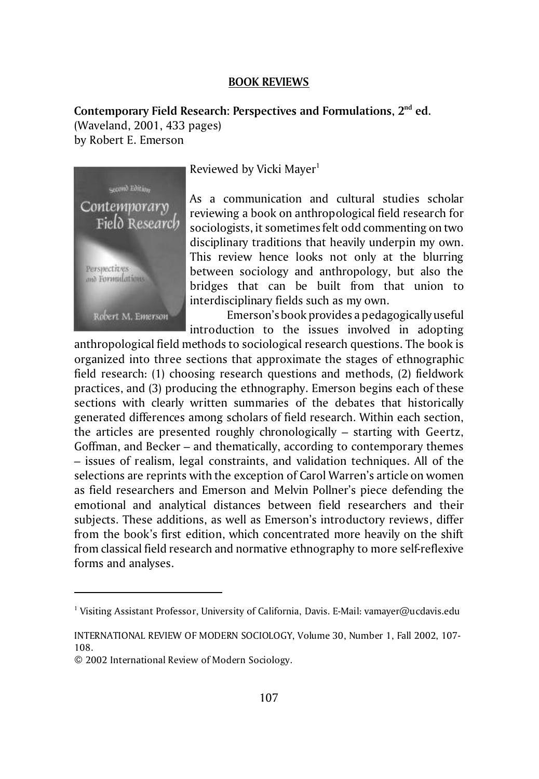## **BOOK REVIEWS**

**Contemporary Field Research: Perspectives and Formulations, 2nd ed.** (Waveland, 2001, 433 pages) by Robert E. Emerson



Reviewed by Vicki Mayer $<sup>1</sup>$ </sup>

As a communication and cultural studies scholar reviewing a book on anthropological field research for sociologists, it sometimes felt odd commenting on two disciplinary traditions that heavily underpin my own. This review hence looks not only at the blurring between sociology and anthropology, but also the bridges that can be built from that union to interdisciplinary fields such as my own.

Emerson's book provides a pedagogically useful introduction to the issues involved in adopting

anthropological field methods to sociological research questions. The book is organized into three sections that approximate the stages of ethnographic field research: (1) choosing research questions and methods, (2) fieldwork practices, and (3) producing the ethnography. Emerson begins each of these sections with clearly written summaries of the debates that historically generated differences among scholars of field research. Within each section, the articles are presented roughly chronologically – starting with Geertz, Goffman, and Becker – and thematically, according to contemporary themes – issues of realism, legal constraints, and validation techniques. All of the selections are reprints with the exception of Carol Warren's article on women as field researchers and Emerson and Melvin Pollner's piece defending the emotional and analytical distances between field researchers and their subjects. These additions, as well as Emerson's introductory reviews, differ from the book's first edition, which concentrated more heavily on the shift from classical field research and normative ethnography to more self-reflexive forms and analyses.

<sup>&</sup>lt;sup>1</sup> Visiting Assistant Professor, University of California, Davis. E-Mail: vamayer@ucdavis.edu

INTERNATIONAL REVIEW OF MODERN SOCIOLOGY, Volume 30, Number 1, Fall 2002, 107- 108.

<sup>© 2002</sup> International Review of Modern Sociology.